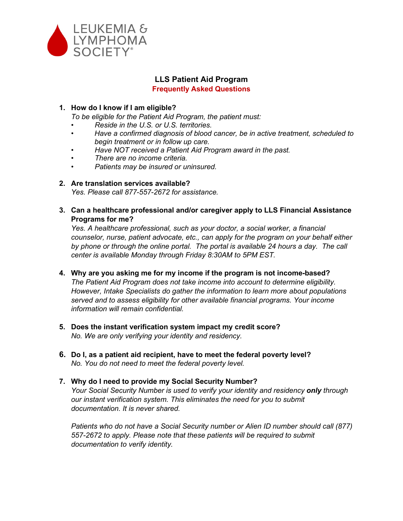

# **LLS Patient Aid Program**

#### **Frequently Asked Questions**

# **1. How do I know if I am eligible?**

*To be eligible for the Patient Aid Program, the patient must:*

- *• Reside in the U.S. or U.S. territories.*
- *• Have a confirmed diagnosis of blood cancer, be in active treatment, scheduled to begin treatment or in follow up care.*
- *• Have NOT received a Patient Aid Program award in the past.*
- *• There are no income criteria.*
- *• Patients may be insured or uninsured.*

# **2. Are translation services available?**

*Yes. Please call 877-557-2672 for assistance.*

**3. Can a healthcare professional and/or caregiver apply to LLS Financial Assistance Programs for me?**

*Yes. A healthcare professional, such as your doctor, a social worker, a financial counselor, nurse, patient advocate, etc., can apply for the program on your behalf either by phone or through the online portal. The portal is available 24 hours a day. The call center is available Monday through Friday 8:30AM to 5PM EST.*

- **4. Why are you asking me for my income if the program is not income-based?** *The Patient Aid Program does not take income into account to determine eligibility. However, Intake Specialists do gather the information to learn more about populations served and to assess eligibility for other available financial programs. Your income information will remain confidential.*
- **5. Does the instant verification system impact my credit score?**  *No. We are only verifying your identity and residency.*
- **6. Do I, as a patient aid recipient, have to meet the federal poverty level?**  *No. You do not need to meet the federal poverty level.*

# **7. Why do I need to provide my Social Security Number?** *Your Social Security Number is used to verify your identity and residency only through our instant verification system. This eliminates the need for you to submit documentation. It is never shared.*

*Patients who do not have a Social Security number or Alien ID number should call (877) 557-2672 to apply. Please note that these patients will be required to submit documentation to verify identity.*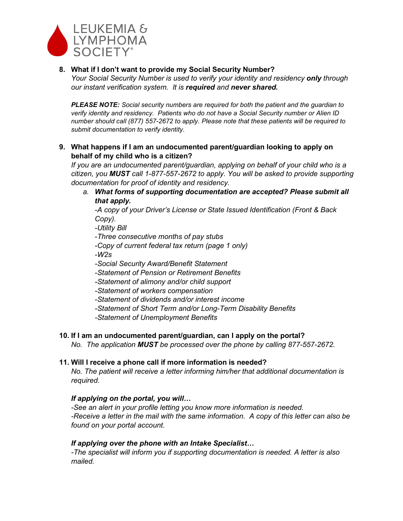

# **8. What if I don't want to provide my Social Security Number?**

*Your Social Security Number is used to verify your identity and residency only through our instant verification system. It is required and never shared.* 

*PLEASE NOTE: Social security numbers are required for both the patient and the guardian to verify identity and residency. Patients who do not have a Social Security number or Alien ID number should call (877) 557-2672 to apply. Please note that these patients will be required to submit documentation to verify identity.*

**9. What happens if I am an undocumented parent/guardian looking to apply on behalf of my child who is a citizen?**

*If you are an undocumented parent/guardian, applying on behalf of your child who is a citizen, you MUST call 1-877-557-2672 to apply. You will be asked to provide supporting documentation for proof of identity and residency.*

*a. What forms of supporting documentation are accepted? Please submit all that apply.*

*-A copy of your Driver's License or State Issued Identification (Front & Back Copy).* 

*-Utility Bill*

- *-Three consecutive months of pay stubs*
- *-Copy of current federal tax return (page 1 only)*

*-W2s*

- *-Social Security Award/Benefit Statement*
- *-Statement of Pension or Retirement Benefits*
- *-Statement of alimony and/or child support*
- *-Statement of workers compensation*
- *-Statement of dividends and/or interest income*
- *-Statement of Short Term and/or Long-Term Disability Benefits*

*-Statement of Unemployment Benefits*

# **10. If I am an undocumented parent/guardian, can I apply on the portal?**

*No. The application MUST be processed over the phone by calling 877-557-2672.*

#### **11. Will I receive a phone call if more information is needed?**

*No. The patient will receive a letter informing him/her that additional documentation is required.*

# *If applying on the portal, you will…*

*-See an alert in your profile letting you know more information is needed. -Receive a letter in the mail with the same information. A copy of this letter can also be found on your portal account.*

# *If applying over the phone with an Intake Specialist…*

*-The specialist will inform you if supporting documentation is needed. A letter is also mailed.*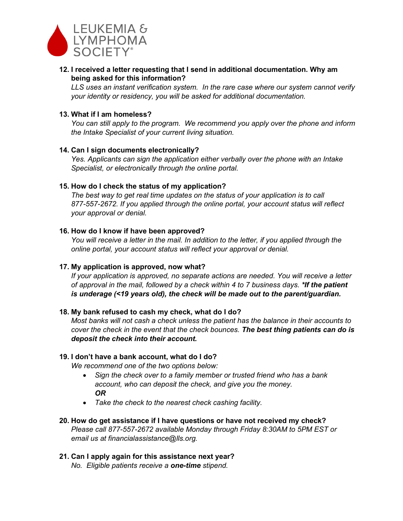

**12. I received a letter requesting that I send in additional documentation. Why am being asked for this information?**

*LLS uses an instant verification system. In the rare case where our system cannot verify your identity or residency, you will be asked for additional documentation.*

#### **13. What if I am homeless?**

*You can still apply to the program. We recommend you apply over the phone and inform the Intake Specialist of your current living situation.* 

#### **14. Can I sign documents electronically?**

*Yes. Applicants can sign the application either verbally over the phone with an Intake Specialist, or electronically through the online portal.*

#### **15. How do I check the status of my application?**

*The best way to get real time updates on the status of your application is to call 877-557-2672. If you applied through the online portal, your account status will reflect your approval or denial.*

# **16. How do I know if have been approved?**

*You will receive a letter in the mail. In addition to the letter, if you applied through the online portal, your account status will reflect your approval or denial.*

#### **17. My application is approved, now what?**

*If your application is approved, no separate actions are needed. You will receive a letter of approval in the mail, followed by a check within 4 to 7 business days. \*If the patient is underage (<19 years old), the check will be made out to the parent/guardian.*

#### **18. My bank refused to cash my check, what do I do?**

*Most banks will not cash a check unless the patient has the balance in their accounts to cover the check in the event that the check bounces. The best thing patients can do is deposit the check into their account.*

#### **19. I don't have a bank account, what do I do?**

*We recommend one of the two options below:*

- *Sign the check over to a family member or trusted friend who has a bank account, who can deposit the check, and give you the money. OR*
- *Take the check to the nearest check cashing facility.*
- **20. How do get assistance if I have questions or have not received my check?** *Please call 877-557-2672 available Monday through Friday 8:30AM to 5PM EST or email us at financialassistance@lls.org.*

# **21. Can I apply again for this assistance next year?**

*No. Eligible patients receive a one-time stipend.*